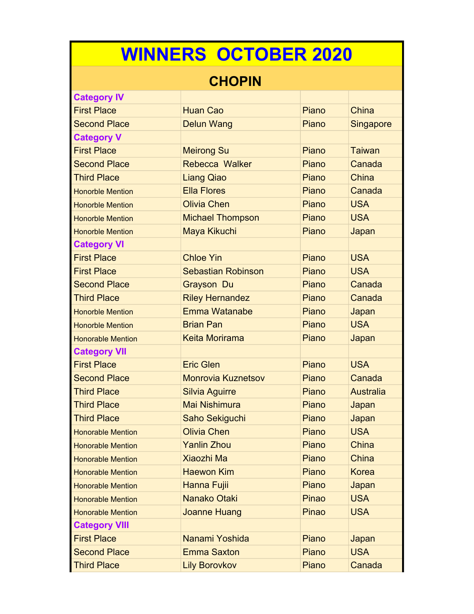## **WINNERS OCTOBER 2020**

## **CHOPIN**

| <b>Category IV</b>       |                           |       |                  |
|--------------------------|---------------------------|-------|------------------|
| <b>First Place</b>       | <b>Huan Cao</b>           | Piano | China            |
| <b>Second Place</b>      | <b>Delun Wang</b>         | Piano | <b>Singapore</b> |
| <b>Category V</b>        |                           |       |                  |
| <b>First Place</b>       | <b>Meirong Su</b>         | Piano | <b>Taiwan</b>    |
| <b>Second Place</b>      | Rebecca Walker            | Piano | Canada           |
| <b>Third Place</b>       | <b>Liang Qiao</b>         | Piano | China            |
| <b>Honorble Mention</b>  | <b>Ella Flores</b>        | Piano | Canada           |
| <b>Honorble Mention</b>  | <b>Olivia Chen</b>        | Piano | <b>USA</b>       |
| <b>Honorble Mention</b>  | <b>Michael Thompson</b>   | Piano | <b>USA</b>       |
| <b>Honorble Mention</b>  | Maya Kikuchi              | Piano | Japan            |
| <b>Category VI</b>       |                           |       |                  |
| <b>First Place</b>       | <b>Chloe Yin</b>          | Piano | <b>USA</b>       |
| <b>First Place</b>       | <b>Sebastian Robinson</b> | Piano | <b>USA</b>       |
| <b>Second Place</b>      | <b>Grayson Du</b>         | Piano | Canada           |
| <b>Third Place</b>       | <b>Riley Hernandez</b>    | Piano | Canada           |
| <b>Honorble Mention</b>  | <b>Emma Watanabe</b>      | Piano | Japan            |
| <b>Honorble Mention</b>  | <b>Brian Pan</b>          | Piano | <b>USA</b>       |
| <b>Honorable Mention</b> | <b>Keita Morirama</b>     | Piano | Japan            |
| <b>Category VII</b>      |                           |       |                  |
| <b>First Place</b>       | <b>Eric Glen</b>          | Piano | <b>USA</b>       |
| <b>Second Place</b>      | <b>Monrovia Kuznetsov</b> | Piano | Canada           |
| <b>Third Place</b>       | <b>Silvia Aguirre</b>     | Piano | <b>Australia</b> |
| <b>Third Place</b>       | <b>Mai Nishimura</b>      | Piano | Japan            |
| <b>Third Place</b>       | Saho Sekiguchi            | Piano | Japan            |
| <b>Honorable Mention</b> | <b>Olivia Chen</b>        | Piano | <b>USA</b>       |
| <b>Honorable Mention</b> | <b>Yanlin Zhou</b>        | Piano | China            |
| <b>Honorable Mention</b> | <b>Xiaozhi Ma</b>         | Piano | China            |
| <b>Honorable Mention</b> | <b>Haewon Kim</b>         | Piano | <b>Korea</b>     |
| <b>Honorable Mention</b> | Hanna Fujii               | Piano | Japan            |
| <b>Honorable Mention</b> | Nanako Otaki              | Pinao | <b>USA</b>       |
| <b>Honorable Mention</b> | <b>Joanne Huang</b>       | Pinao | <b>USA</b>       |
| <b>Category VIII</b>     |                           |       |                  |
| <b>First Place</b>       | Nanami Yoshida            | Piano | Japan            |
| <b>Second Place</b>      | <b>Emma Saxton</b>        | Piano | <b>USA</b>       |
| <b>Third Place</b>       | <b>Lily Borovkov</b>      | Piano | Canada           |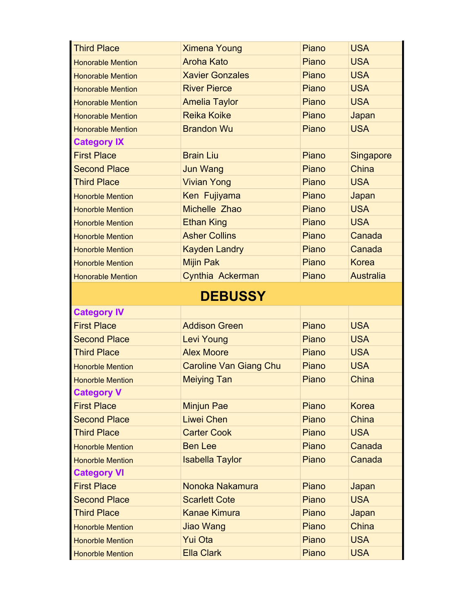| <b>Third Place</b>       | <b>Ximena Young</b>           | Piano | <b>USA</b>       |
|--------------------------|-------------------------------|-------|------------------|
| <b>Honorable Mention</b> | <b>Aroha Kato</b>             | Piano | <b>USA</b>       |
| <b>Honorable Mention</b> | <b>Xavier Gonzales</b>        | Piano | <b>USA</b>       |
| <b>Honorable Mention</b> | <b>River Pierce</b>           | Piano | <b>USA</b>       |
| <b>Honorable Mention</b> | <b>Amelia Taylor</b>          | Piano | <b>USA</b>       |
| <b>Honorable Mention</b> | <b>Reika Koike</b>            | Piano | Japan            |
| <b>Honorable Mention</b> | <b>Brandon Wu</b>             | Piano | <b>USA</b>       |
| <b>Category IX</b>       |                               |       |                  |
| <b>First Place</b>       | <b>Brain Liu</b>              | Piano | <b>Singapore</b> |
| <b>Second Place</b>      | <b>Jun Wang</b>               | Piano | China            |
| <b>Third Place</b>       | <b>Vivian Yong</b>            | Piano | <b>USA</b>       |
| <b>Honorble Mention</b>  | Ken Fujiyama                  | Piano | Japan            |
| <b>Honorble Mention</b>  | Michelle Zhao                 | Piano | <b>USA</b>       |
| <b>Honorble Mention</b>  | <b>Ethan King</b>             | Piano | <b>USA</b>       |
| <b>Honorble Mention</b>  | <b>Asher Collins</b>          | Piano | Canada           |
| <b>Honorble Mention</b>  | <b>Kayden Landry</b>          | Piano | Canada           |
| <b>Honorble Mention</b>  | <b>Mijin Pak</b>              | Piano | <b>Korea</b>     |
| <b>Honorable Mention</b> | Cynthia Ackerman              | Piano | <b>Australia</b> |
|                          | <b>DEBUSSY</b>                |       |                  |
| <b>Category IV</b>       |                               |       |                  |
| <b>First Place</b>       | <b>Addison Green</b>          | Piano | <b>USA</b>       |
| <b>Second Place</b>      | <b>Levi Young</b>             | Piano | <b>USA</b>       |
| <b>Third Place</b>       | <b>Alex Moore</b>             | Piano | <b>USA</b>       |
| <b>Honorble Mention</b>  | <b>Caroline Van Giang Chu</b> | Piano | <b>USA</b>       |
| <b>Honorble Mention</b>  | <b>Meiying Tan</b>            | Piano | China            |
| <b>Category V</b>        |                               |       |                  |
| <b>First Place</b>       | <b>Minjun Pae</b>             | Piano | <b>Korea</b>     |
| <b>Second Place</b>      | <b>Liwei Chen</b>             | Piano | <b>China</b>     |
| <b>Third Place</b>       | <b>Carter Cook</b>            | Piano | <b>USA</b>       |
| <b>Honorble Mention</b>  | <b>Ben Lee</b>                | Piano | Canada           |
| <b>Honorble Mention</b>  | <b>Isabella Taylor</b>        | Piano | Canada           |
| <b>Category VI</b>       |                               |       |                  |
| <b>First Place</b>       | Nonoka Nakamura               | Piano | Japan            |
| <b>Second Place</b>      | <b>Scarlett Cote</b>          | Piano | <b>USA</b>       |
| <b>Third Place</b>       | <b>Kanae Kimura</b>           | Piano | Japan            |
| <b>Honorble Mention</b>  | Jiao Wang                     | Piano | <b>China</b>     |
| <b>Honorble Mention</b>  | Yui Ota                       | Piano | <b>USA</b>       |
| <b>Honorble Mention</b>  | <b>Ella Clark</b>             | Piano | <b>USA</b>       |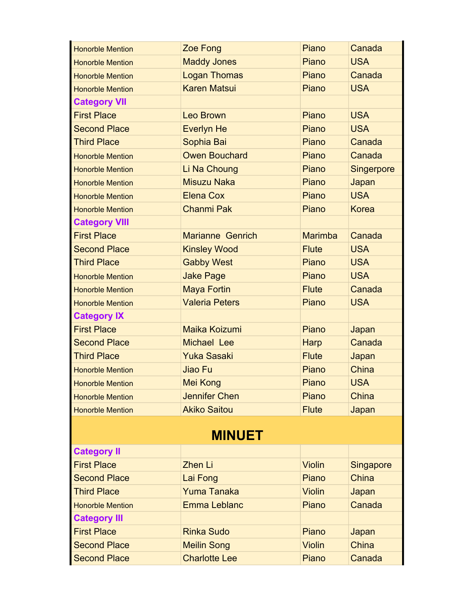| <b>Honorble Mention</b> | Zoe Fong                | Piano          | Canada           |  |  |
|-------------------------|-------------------------|----------------|------------------|--|--|
| <b>Honorble Mention</b> | <b>Maddy Jones</b>      | Piano          | <b>USA</b>       |  |  |
| <b>Honorble Mention</b> | <b>Logan Thomas</b>     | Piano          | Canada           |  |  |
| <b>Honorble Mention</b> | <b>Karen Matsui</b>     | Piano          | <b>USA</b>       |  |  |
| <b>Category VII</b>     |                         |                |                  |  |  |
| <b>First Place</b>      | <b>Leo Brown</b>        | Piano          | <b>USA</b>       |  |  |
| <b>Second Place</b>     | <b>Everlyn He</b>       | Piano          | <b>USA</b>       |  |  |
| <b>Third Place</b>      | Sophia Bai              | Piano          | Canada           |  |  |
| <b>Honorble Mention</b> | <b>Owen Bouchard</b>    | Piano          | Canada           |  |  |
| <b>Honorble Mention</b> | Li Na Choung            | Piano          | Singerpore       |  |  |
| <b>Honorble Mention</b> | <b>Misuzu Naka</b>      | Piano          | Japan            |  |  |
| <b>Honorble Mention</b> | <b>Elena Cox</b>        | Piano          | <b>USA</b>       |  |  |
| <b>Honorble Mention</b> | <b>Chanmi Pak</b>       | Piano          | <b>Korea</b>     |  |  |
| <b>Category VIII</b>    |                         |                |                  |  |  |
| <b>First Place</b>      | <b>Marianne Genrich</b> | <b>Marimba</b> | Canada           |  |  |
| <b>Second Place</b>     | <b>Kinsley Wood</b>     | <b>Flute</b>   | <b>USA</b>       |  |  |
| <b>Third Place</b>      | <b>Gabby West</b>       | Piano          | <b>USA</b>       |  |  |
| <b>Honorble Mention</b> | <b>Jake Page</b>        | Piano          | <b>USA</b>       |  |  |
| <b>Honorble Mention</b> | <b>Maya Fortin</b>      | <b>Flute</b>   | Canada           |  |  |
| <b>Honorble Mention</b> | <b>Valeria Peters</b>   | Piano          | <b>USA</b>       |  |  |
| <b>Category IX</b>      |                         |                |                  |  |  |
| <b>First Place</b>      | Maika Koizumi           | Piano          | Japan            |  |  |
| <b>Second Place</b>     | Michael Lee             | Harp           | Canada           |  |  |
| <b>Third Place</b>      | <b>Yuka Sasaki</b>      | <b>Flute</b>   | Japan            |  |  |
| <b>Honorble Mention</b> | Jiao Fu                 | Piano          | China            |  |  |
| <b>Honorble Mention</b> | <b>Mei Kong</b>         | Piano          | <b>USA</b>       |  |  |
| <b>Honorble Mention</b> | <b>Jennifer Chen</b>    | Piano          | China            |  |  |
| <b>Honorble Mention</b> | <b>Akiko Saitou</b>     | <b>Flute</b>   | Japan            |  |  |
|                         |                         |                |                  |  |  |
|                         | <b>MINUET</b>           |                |                  |  |  |
| <b>Category II</b>      |                         |                |                  |  |  |
| <b>First Place</b>      | Zhen Li                 | <b>Violin</b>  | <b>Singapore</b> |  |  |
| <b>Second Place</b>     | Lai Fong                | Piano          | China            |  |  |
| <b>Third Place</b>      | <b>Yuma Tanaka</b>      | <b>Violin</b>  | Japan            |  |  |
| <b>Honorble Mention</b> | <b>Emma Leblanc</b>     | Piano          | Canada           |  |  |
| <b>Category III</b>     |                         |                |                  |  |  |
| <b>First Place</b>      | <b>Rinka Sudo</b>       | Piano          | Japan            |  |  |
| <b>Second Place</b>     | <b>Meilin Song</b>      | <b>Violin</b>  | China            |  |  |
| <b>Second Place</b>     | <b>Charlotte Lee</b>    | Piano          | Canada           |  |  |
|                         |                         |                |                  |  |  |